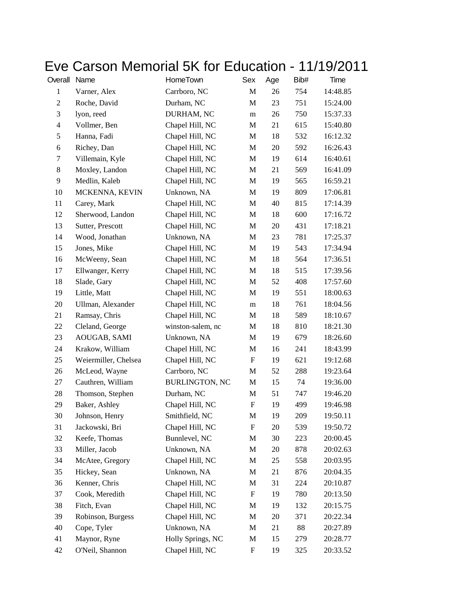## Eve Carson Memorial 5K for Education - 11/19/2011

| Overall      | Name                 | HomeTown              | Sex         | Age    | Bib# | Time     |
|--------------|----------------------|-----------------------|-------------|--------|------|----------|
| $\mathbf{1}$ | Varner, Alex         | Carrboro, NC          | M           | 26     | 754  | 14:48.85 |
| $\mathbf{2}$ | Roche, David         | Durham, NC            | M           | 23     | 751  | 15:24.00 |
| 3            | lyon, reed           | DURHAM, NC            | m           | 26     | 750  | 15:37.33 |
| 4            | Vollmer, Ben         | Chapel Hill, NC       | M           | 21     | 615  | 15:40.80 |
| 5            | Hanna, Fadi          | Chapel Hill, NC       | M           | 18     | 532  | 16:12.32 |
| 6            | Richey, Dan          | Chapel Hill, NC       | $\mathbf M$ | $20\,$ | 592  | 16:26.43 |
| 7            | Villemain, Kyle      | Chapel Hill, NC       | M           | 19     | 614  | 16:40.61 |
| 8            | Moxley, Landon       | Chapel Hill, NC       | M           | 21     | 569  | 16:41.09 |
| 9            | Medlin, Kaleb        | Chapel Hill, NC       | M           | 19     | 565  | 16:59.21 |
| 10           | MCKENNA, KEVIN       | Unknown, NA           | М           | 19     | 809  | 17:06.81 |
| 11           | Carey, Mark          | Chapel Hill, NC       | $\mathbf M$ | 40     | 815  | 17:14.39 |
| 12           | Sherwood, Landon     | Chapel Hill, NC       | M           | 18     | 600  | 17:16.72 |
| 13           | Sutter, Prescott     | Chapel Hill, NC       | M           | 20     | 431  | 17:18.21 |
| 14           | Wood, Jonathan       | Unknown, NA           | M           | 23     | 781  | 17:25.37 |
| 15           | Jones, Mike          | Chapel Hill, NC       | M           | 19     | 543  | 17:34.94 |
| 16           | McWeeny, Sean        | Chapel Hill, NC       | $\mathbf M$ | 18     | 564  | 17:36.51 |
| 17           | Ellwanger, Kerry     | Chapel Hill, NC       | M           | 18     | 515  | 17:39.56 |
| 18           | Slade, Gary          | Chapel Hill, NC       | M           | 52     | 408  | 17:57.60 |
| 19           | Little, Matt         | Chapel Hill, NC       | M           | 19     | 551  | 18:00.63 |
| 20           | Ullman, Alexander    | Chapel Hill, NC       | m           | 18     | 761  | 18:04.56 |
| 21           | Ramsay, Chris        | Chapel Hill, NC       | M           | 18     | 589  | 18:10.67 |
| 22           | Cleland, George      | winston-salem, nc     | M           | 18     | 810  | 18:21.30 |
| 23           | AOUGAB, SAMI         | Unknown, NA           | M           | 19     | 679  | 18:26.60 |
| 24           | Krakow, William      | Chapel Hill, NC       | M           | 16     | 241  | 18:43.99 |
| 25           | Weiermiller, Chelsea | Chapel Hill, NC       | F           | 19     | 621  | 19:12.68 |
| 26           | McLeod, Wayne        | Carrboro, NC          | M           | 52     | 288  | 19:23.64 |
| 27           | Cauthren, William    | <b>BURLINGTON, NC</b> | M           | 15     | 74   | 19:36.00 |
| 28           | Thomson, Stephen     | Durham, NC            | M           | 51     | 747  | 19:46.20 |
| 29           | Baker, Ashley        | Chapel Hill, NC       | $\mathbf F$ | 19     | 499  | 19:46.98 |
| 30           | Johnson, Henry       | Smithfield, NC        | M           | 19     | 209  | 19:50.11 |
| 31           | Jackowski, Bri       | Chapel Hill, NC       | ${\bf F}$   | $20\,$ | 539  | 19:50.72 |
| 32           | Keefe, Thomas        | Bunnlevel, NC         | M           | 30     | 223  | 20:00.45 |
| 33           | Miller, Jacob        | Unknown, NA           | M           | 20     | 878  | 20:02.63 |
| 34           | McAtee, Gregory      | Chapel Hill, NC       | M           | 25     | 558  | 20:03.95 |
| 35           | Hickey, Sean         | Unknown, NA           | M           | 21     | 876  | 20:04.35 |
| 36           | Kenner, Chris        | Chapel Hill, NC       | M           | 31     | 224  | 20:10.87 |
| 37           | Cook, Meredith       | Chapel Hill, NC       | F           | 19     | 780  | 20:13.50 |
| 38           | Fitch, Evan          | Chapel Hill, NC       | M           | 19     | 132  | 20:15.75 |
| 39           | Robinson, Burgess    | Chapel Hill, NC       | M           | 20     | 371  | 20:22.34 |
| 40           | Cope, Tyler          | Unknown, NA           | M           | 21     | 88   | 20:27.89 |
| 41           | Maynor, Ryne         | Holly Springs, NC     | M           | 15     | 279  | 20:28.77 |
| 42           | O'Neil, Shannon      | Chapel Hill, NC       | F           | 19     | 325  | 20:33.52 |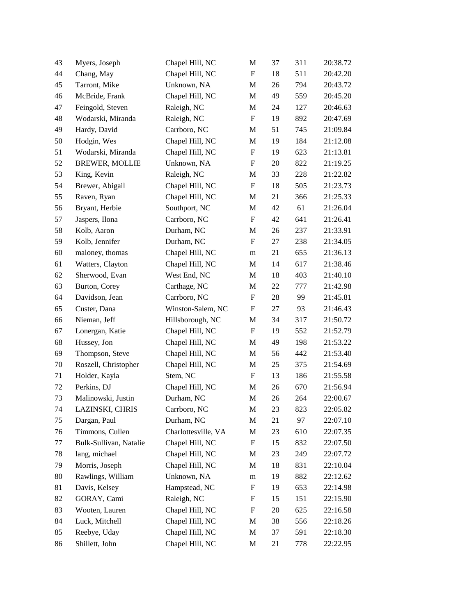| 43 | Myers, Joseph          | Chapel Hill, NC     | M                         | 37     | 311 | 20:38.72 |
|----|------------------------|---------------------|---------------------------|--------|-----|----------|
| 44 | Chang, May             | Chapel Hill, NC     | $\mathbf F$               | 18     | 511 | 20:42.20 |
| 45 | Tarront, Mike          | Unknown, NA         | $\mathbf M$               | 26     | 794 | 20:43.72 |
| 46 | McBride, Frank         | Chapel Hill, NC     | M                         | 49     | 559 | 20:45.20 |
| 47 | Feingold, Steven       | Raleigh, NC         | $\mathbf M$               | 24     | 127 | 20:46.63 |
| 48 | Wodarski, Miranda      | Raleigh, NC         | ${\bf F}$                 | 19     | 892 | 20:47.69 |
| 49 | Hardy, David           | Carrboro, NC        | M                         | 51     | 745 | 21:09.84 |
| 50 | Hodgin, Wes            | Chapel Hill, NC     | $\mathbf M$               | 19     | 184 | 21:12.08 |
| 51 | Wodarski, Miranda      | Chapel Hill, NC     | $\boldsymbol{\mathrm{F}}$ | 19     | 623 | 21:13.81 |
| 52 | <b>BREWER, MOLLIE</b>  | Unknown, NA         | $\boldsymbol{\mathrm{F}}$ | 20     | 822 | 21:19.25 |
| 53 | King, Kevin            | Raleigh, NC         | M                         | 33     | 228 | 21:22.82 |
| 54 | Brewer, Abigail        | Chapel Hill, NC     | $\boldsymbol{\mathrm{F}}$ | 18     | 505 | 21:23.73 |
| 55 | Raven, Ryan            | Chapel Hill, NC     | $\mathbf M$               | 21     | 366 | 21:25.33 |
| 56 | Bryant, Herbie         | Southport, NC       | M                         | 42     | 61  | 21:26.04 |
| 57 | Jaspers, Ilona         | Carrboro, NC        | $\boldsymbol{\mathrm{F}}$ | 42     | 641 | 21:26.41 |
| 58 | Kolb, Aaron            | Durham, NC          | M                         | 26     | 237 | 21:33.91 |
| 59 | Kolb, Jennifer         | Durham, NC          | $\boldsymbol{\mathrm{F}}$ | 27     | 238 | 21:34.05 |
| 60 | maloney, thomas        | Chapel Hill, NC     | m                         | 21     | 655 | 21:36.13 |
| 61 | Watters, Clayton       | Chapel Hill, NC     | M                         | 14     | 617 | 21:38.46 |
| 62 | Sherwood, Evan         | West End, NC        | M                         | 18     | 403 | 21:40.10 |
| 63 | Burton, Corey          | Carthage, NC        | M                         | 22     | 777 | 21:42.98 |
| 64 | Davidson, Jean         | Carrboro, NC        | $\boldsymbol{\mathrm{F}}$ | $28\,$ | 99  | 21:45.81 |
| 65 | Custer, Dana           | Winston-Salem, NC   | $\boldsymbol{\mathrm{F}}$ | 27     | 93  | 21:46.43 |
| 66 | Nieman, Jeff           | Hillsborough, NC    | M                         | 34     | 317 | 21:50.72 |
| 67 | Lonergan, Katie        | Chapel Hill, NC     | $\boldsymbol{\mathrm{F}}$ | 19     | 552 | 21:52.79 |
| 68 | Hussey, Jon            | Chapel Hill, NC     | M                         | 49     | 198 | 21:53.22 |
| 69 | Thompson, Steve        | Chapel Hill, NC     | M                         | 56     | 442 | 21:53.40 |
| 70 | Roszell, Christopher   | Chapel Hill, NC     | $\mathbf M$               | $25\,$ | 375 | 21:54.69 |
| 71 | Holder, Kayla          | Stem, NC            | F                         | 13     | 186 | 21:55.58 |
| 72 | Perkins, DJ            | Chapel Hill, NC     | M                         | 26     | 670 | 21:56.94 |
| 73 | Malinowski, Justin     | Durham, NC          | M                         | 26     | 264 | 22:00.67 |
| 74 | LAZINSKI, CHRIS        | Carrboro, NC        | M                         | 23     | 823 | 22:05.82 |
| 75 | Dargan, Paul           | Durham, NC          | M                         | 21     | 97  | 22:07.10 |
| 76 | Timmons, Cullen        | Charlottesville, VA | M                         | 23     | 610 | 22:07.35 |
| 77 | Bulk-Sullivan, Natalie | Chapel Hill, NC     | F                         | 15     | 832 | 22:07.50 |
| 78 | lang, michael          | Chapel Hill, NC     | M                         | 23     | 249 | 22:07.72 |
| 79 | Morris, Joseph         | Chapel Hill, NC     | M                         | 18     | 831 | 22:10.04 |
| 80 | Rawlings, William      | Unknown, NA         | m                         | 19     | 882 | 22:12.62 |
| 81 | Davis, Kelsey          | Hampstead, NC       | F                         | 19     | 653 | 22:14.98 |
| 82 | GORAY, Cami            | Raleigh, NC         | ${\rm F}$                 | 15     | 151 | 22:15.90 |
| 83 | Wooten, Lauren         | Chapel Hill, NC     | $\boldsymbol{\mathrm{F}}$ | 20     | 625 | 22:16.58 |
| 84 | Luck, Mitchell         | Chapel Hill, NC     | M                         | 38     | 556 | 22:18.26 |
| 85 | Reebye, Uday           | Chapel Hill, NC     | M                         | 37     | 591 | 22:18.30 |
| 86 | Shillett, John         | Chapel Hill, NC     | M                         | 21     | 778 | 22:22.95 |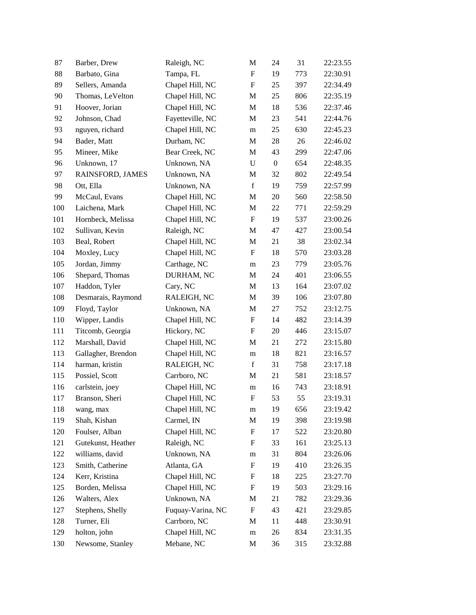| 87  | Barber, Drew       | Raleigh, NC       | M                         | 24               | 31  | 22:23.55 |
|-----|--------------------|-------------------|---------------------------|------------------|-----|----------|
| 88  | Barbato, Gina      | Tampa, FL         | $\boldsymbol{\mathrm{F}}$ | 19               | 773 | 22:30.91 |
| 89  | Sellers, Amanda    | Chapel Hill, NC   | $\boldsymbol{\mathrm{F}}$ | 25               | 397 | 22:34.49 |
| 90  | Thomas, LeVelton   | Chapel Hill, NC   | M                         | 25               | 806 | 22:35.19 |
| 91  | Hoover, Jorian     | Chapel Hill, NC   | $\mathbf M$               | 18               | 536 | 22:37.46 |
| 92  | Johnson, Chad      | Fayetteville, NC  | M                         | 23               | 541 | 22:44.76 |
| 93  | nguyen, richard    | Chapel Hill, NC   | m                         | 25               | 630 | 22:45.23 |
| 94  | Bader, Matt        | Durham, NC        | $\mathbf M$               | 28               | 26  | 22:46.02 |
| 95  | Mineer, Mike       | Bear Creek, NC    | M                         | 43               | 299 | 22:47.06 |
| 96  | Unknown, 17        | Unknown, NA       | $\mathbf U$               | $\boldsymbol{0}$ | 654 | 22:48.35 |
| 97  | RAINSFORD, JAMES   | Unknown, NA       | M                         | 32               | 802 | 22:49.54 |
| 98  | Ott, Ella          | Unknown, NA       | $\mathbf f$               | 19               | 759 | 22:57.99 |
| 99  | McCaul, Evans      | Chapel Hill, NC   | M                         | 20               | 560 | 22:58.50 |
| 100 | Laichena, Mark     | Chapel Hill, NC   | M                         | 22               | 771 | 22:59.29 |
| 101 | Hornbeck, Melissa  | Chapel Hill, NC   | $\boldsymbol{\mathrm{F}}$ | 19               | 537 | 23:00.26 |
| 102 | Sullivan, Kevin    | Raleigh, NC       | M                         | 47               | 427 | 23:00.54 |
| 103 | Beal, Robert       | Chapel Hill, NC   | M                         | 21               | 38  | 23:02.34 |
| 104 | Moxley, Lucy       | Chapel Hill, NC   | $\boldsymbol{\mathrm{F}}$ | 18               | 570 | 23:03.28 |
| 105 | Jordan, Jimmy      | Carthage, NC      | m                         | 23               | 779 | 23:05.76 |
| 106 | Shepard, Thomas    | DURHAM, NC        | M                         | 24               | 401 | 23:06.55 |
| 107 | Haddon, Tyler      | Cary, NC          | M                         | 13               | 164 | 23:07.02 |
| 108 | Desmarais, Raymond | RALEIGH, NC       | M                         | 39               | 106 | 23:07.80 |
| 109 | Floyd, Taylor      | Unknown, NA       | M                         | 27               | 752 | 23:12.75 |
| 110 | Wipper, Landis     | Chapel Hill, NC   | $\boldsymbol{\mathrm{F}}$ | 14               | 482 | 23:14.39 |
| 111 | Titcomb, Georgia   | Hickory, NC       | F                         | 20               | 446 | 23:15.07 |
| 112 | Marshall, David    | Chapel Hill, NC   | M                         | 21               | 272 | 23:15.80 |
| 113 | Gallagher, Brendon | Chapel Hill, NC   | m                         | 18               | 821 | 23:16.57 |
| 114 | harman, kristin    | RALEIGH, NC       | $\mathbf f$               | 31               | 758 | 23:17.18 |
| 115 | Possiel, Scott     | Carrboro, NC      | M                         | 21               | 581 | 23:18.57 |
| 116 | carlstein, joey    | Chapel Hill, NC   | m                         | 16               | 743 | 23:18.91 |
| 117 | Branson, Sheri     | Chapel Hill, NC   | F                         | 53               | 55  | 23:19.31 |
| 118 | wang, max          | Chapel Hill, NC   | m                         | 19               | 656 | 23:19.42 |
| 119 | Shah, Kishan       | Carmel, IN        | M                         | 19               | 398 | 23:19.98 |
| 120 | Foulser, Alban     | Chapel Hill, NC   | $\boldsymbol{\mathrm{F}}$ | 17               | 522 | 23:20.80 |
| 121 | Gutekunst, Heather | Raleigh, NC       | F                         | 33               | 161 | 23:25.13 |
| 122 | williams, david    | Unknown, NA       | m                         | 31               | 804 | 23:26.06 |
| 123 | Smith, Catherine   | Atlanta, GA       | ${\bf F}$                 | 19               | 410 | 23:26.35 |
| 124 | Kerr, Kristina     | Chapel Hill, NC   | ${\rm F}$                 | 18               | 225 | 23:27.70 |
| 125 | Borden, Melissa    | Chapel Hill, NC   | $\boldsymbol{\mathrm{F}}$ | 19               | 503 | 23:29.16 |
| 126 | Walters, Alex      | Unknown, NA       | M                         | 21               | 782 | 23:29.36 |
| 127 | Stephens, Shelly   | Fuquay-Varina, NC | $\boldsymbol{\mathrm{F}}$ | 43               | 421 | 23:29.85 |
| 128 | Turner, Eli        | Carrboro, NC      | M                         | 11               | 448 | 23:30.91 |
| 129 | holton, john       | Chapel Hill, NC   | ${\rm m}$                 | 26               | 834 | 23:31.35 |
| 130 | Newsome, Stanley   | Mebane, NC        | M                         | 36               | 315 | 23:32.88 |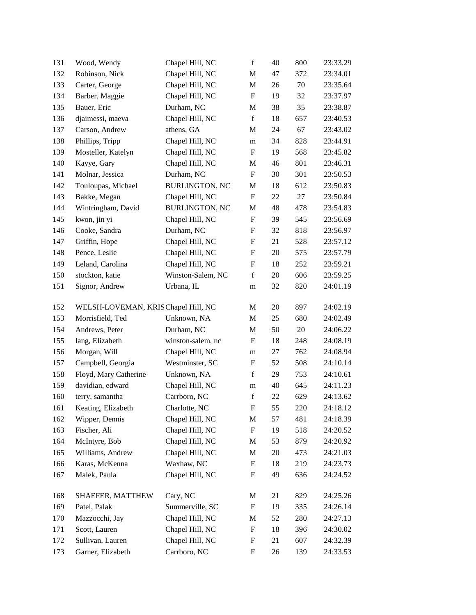| 131 | Wood, Wendy                         | Chapel Hill, NC       | $\mathbf f$               | 40 | 800 | 23:33.29 |
|-----|-------------------------------------|-----------------------|---------------------------|----|-----|----------|
| 132 | Robinson, Nick                      | Chapel Hill, NC       | M                         | 47 | 372 | 23:34.01 |
| 133 | Carter, George                      | Chapel Hill, NC       | M                         | 26 | 70  | 23:35.64 |
| 134 | Barber, Maggie                      | Chapel Hill, NC       | $\boldsymbol{\mathrm{F}}$ | 19 | 32  | 23:37.97 |
| 135 | Bauer, Eric                         | Durham, NC            | M                         | 38 | 35  | 23:38.87 |
| 136 | djaimessi, maeva                    | Chapel Hill, NC       | $\mathbf f$               | 18 | 657 | 23:40.53 |
| 137 | Carson, Andrew                      | athens, GA            | M                         | 24 | 67  | 23:43.02 |
| 138 | Phillips, Tripp                     | Chapel Hill, NC       | m                         | 34 | 828 | 23:44.91 |
| 139 | Mosteller, Katelyn                  | Chapel Hill, NC       | $\boldsymbol{\mathrm{F}}$ | 19 | 568 | 23:45.82 |
| 140 | Kayye, Gary                         | Chapel Hill, NC       | M                         | 46 | 801 | 23:46.31 |
| 141 | Molnar, Jessica                     | Durham, NC            | $\boldsymbol{\mathrm{F}}$ | 30 | 301 | 23:50.53 |
| 142 | Touloupas, Michael                  | <b>BURLINGTON, NC</b> | M                         | 18 | 612 | 23:50.83 |
| 143 | Bakke, Megan                        | Chapel Hill, NC       | $\boldsymbol{\mathrm{F}}$ | 22 | 27  | 23:50.84 |
| 144 | Wintringham, David                  | <b>BURLINGTON, NC</b> | M                         | 48 | 478 | 23:54.83 |
| 145 | kwon, jin yi                        | Chapel Hill, NC       | $\boldsymbol{\mathrm{F}}$ | 39 | 545 | 23:56.69 |
| 146 | Cooke, Sandra                       | Durham, NC            | $\boldsymbol{\mathrm{F}}$ | 32 | 818 | 23:56.97 |
| 147 | Griffin, Hope                       | Chapel Hill, NC       | F                         | 21 | 528 | 23:57.12 |
| 148 | Pence, Leslie                       | Chapel Hill, NC       | $\boldsymbol{\mathrm{F}}$ | 20 | 575 | 23:57.79 |
| 149 | Leland, Carolina                    | Chapel Hill, NC       | F                         | 18 | 252 | 23:59.21 |
| 150 | stockton, katie                     | Winston-Salem, NC     | $\mathbf f$               | 20 | 606 | 23:59.25 |
| 151 | Signor, Andrew                      | Urbana, IL            | m                         | 32 | 820 | 24:01.19 |
| 152 | WELSH-LOVEMAN, KRIS Chapel Hill, NC |                       | M                         | 20 | 897 | 24:02.19 |
| 153 | Morrisfield, Ted                    | Unknown, NA           | $\mathbf M$               | 25 | 680 | 24:02.49 |
| 154 | Andrews, Peter                      | Durham, NC            | M                         | 50 | 20  | 24:06.22 |
| 155 | lang, Elizabeth                     | winston-salem, nc     | F                         | 18 | 248 | 24:08.19 |
| 156 | Morgan, Will                        | Chapel Hill, NC       | m                         | 27 | 762 | 24:08.94 |
| 157 | Campbell, Georgia                   | Westminster, SC       | F                         | 52 | 508 | 24:10.14 |
| 158 | Floyd, Mary Catherine               | Unknown, NA           | $\mathbf f$               | 29 | 753 | 24:10.61 |
| 159 | davidian, edward                    | Chapel Hill, NC       | m                         | 40 | 645 | 24:11.23 |
| 160 | terry, samantha                     | Carrboro, NC          | $\mathbf f$               | 22 | 629 | 24:13.62 |
| 161 | Keating, Elizabeth                  | Charlotte, NC         | F                         | 55 | 220 | 24:18.12 |
| 162 | Wipper, Dennis                      | Chapel Hill, NC       | M                         | 57 | 481 | 24:18.39 |
| 163 | Fischer, Ali                        | Chapel Hill, NC       | ${\bf F}$                 | 19 | 518 | 24:20.52 |
| 164 | McIntyre, Bob                       | Chapel Hill, NC       | M                         | 53 | 879 | 24:20.92 |
| 165 | Williams, Andrew                    | Chapel Hill, NC       | M                         | 20 | 473 | 24:21.03 |
| 166 | Karas, McKenna                      | Waxhaw, NC            | ${\bf F}$                 | 18 | 219 | 24:23.73 |
| 167 | Malek, Paula                        | Chapel Hill, NC       | F                         | 49 | 636 | 24:24.52 |
| 168 | SHAEFER, MATTHEW                    | Cary, NC              | M                         | 21 | 829 | 24:25.26 |
| 169 | Patel, Palak                        | Summerville, SC       | $\boldsymbol{\mathrm{F}}$ | 19 | 335 | 24:26.14 |
| 170 | Mazzocchi, Jay                      | Chapel Hill, NC       | M                         | 52 | 280 | 24:27.13 |
| 171 | Scott, Lauren                       | Chapel Hill, NC       | $\boldsymbol{\mathrm{F}}$ | 18 | 396 | 24:30.02 |
| 172 | Sullivan, Lauren                    | Chapel Hill, NC       | $\boldsymbol{F}$          | 21 | 607 | 24:32.39 |
| 173 | Garner, Elizabeth                   | Carrboro, NC          | ${\bf F}$                 | 26 | 139 | 24:33.53 |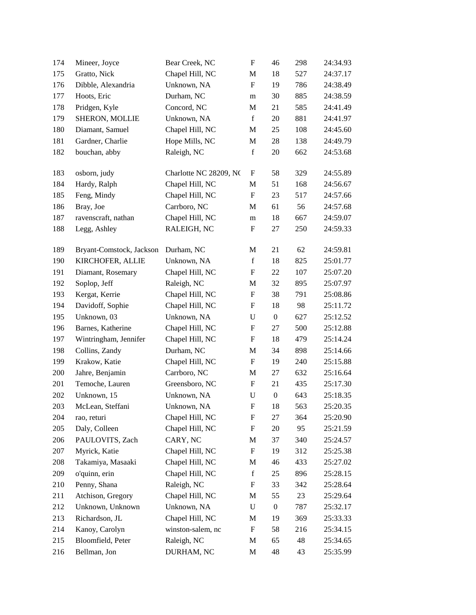| 174 | Mineer, Joyce            | Bear Creek, NC         | $\boldsymbol{\mathrm{F}}$ | 46               | 298 | 24:34.93 |
|-----|--------------------------|------------------------|---------------------------|------------------|-----|----------|
| 175 | Gratto, Nick             | Chapel Hill, NC        | M                         | 18               | 527 | 24:37.17 |
| 176 | Dibble, Alexandria       | Unknown, NA            | $\mathbf F$               | 19               | 786 | 24:38.49 |
| 177 | Hoots, Eric              | Durham, NC             | m                         | 30               | 885 | 24:38.59 |
| 178 | Pridgen, Kyle            | Concord, NC            | $\mathbf M$               | 21               | 585 | 24:41.49 |
| 179 | SHERON, MOLLIE           | Unknown, NA            | $\mathbf f$               | 20               | 881 | 24:41.97 |
| 180 | Diamant, Samuel          | Chapel Hill, NC        | M                         | 25               | 108 | 24:45.60 |
| 181 | Gardner, Charlie         | Hope Mills, NC         | M                         | 28               | 138 | 24:49.79 |
| 182 | bouchan, abby            | Raleigh, NC            | $\mathbf f$               | 20               | 662 | 24:53.68 |
| 183 | osborn, judy             | Charlotte NC 28209, NC | F                         | 58               | 329 | 24:55.89 |
| 184 | Hardy, Ralph             | Chapel Hill, NC        | M                         | 51               | 168 | 24:56.67 |
| 185 | Feng, Mindy              | Chapel Hill, NC        | $\mathbf F$               | 23               | 517 | 24:57.66 |
| 186 | Bray, Joe                | Carrboro, NC           | M                         | 61               | 56  | 24:57.68 |
| 187 | ravenscraft, nathan      | Chapel Hill, NC        | m                         | 18               | 667 | 24:59.07 |
| 188 | Legg, Ashley             | RALEIGH, NC            | $\boldsymbol{\mathrm{F}}$ | 27               | 250 | 24:59.33 |
| 189 | Bryant-Comstock, Jackson | Durham, NC             | M                         | 21               | 62  | 24:59.81 |
| 190 | KIRCHOFER, ALLIE         | Unknown, NA            | $\mathbf f$               | 18               | 825 | 25:01.77 |
| 191 | Diamant, Rosemary        | Chapel Hill, NC        | ${\bf F}$                 | 22               | 107 | 25:07.20 |
| 192 | Soplop, Jeff             | Raleigh, NC            | M                         | 32               | 895 | 25:07.97 |
| 193 | Kergat, Kerrie           | Chapel Hill, NC        | $\boldsymbol{\mathrm{F}}$ | 38               | 791 | 25:08.86 |
| 194 | Davidoff, Sophie         | Chapel Hill, NC        | F                         | 18               | 98  | 25:11.72 |
| 195 | Unknown, 03              | Unknown, NA            | $\mathbf U$               | $\boldsymbol{0}$ | 627 | 25:12.52 |
| 196 | Barnes, Katherine        | Chapel Hill, NC        | $\boldsymbol{\mathrm{F}}$ | 27               | 500 | 25:12.88 |
| 197 | Wintringham, Jennifer    | Chapel Hill, NC        | $\boldsymbol{\mathrm{F}}$ | 18               | 479 | 25:14.24 |
| 198 | Collins, Zandy           | Durham, NC             | M                         | 34               | 898 | 25:14.66 |
| 199 | Krakow, Katie            | Chapel Hill, NC        | F                         | 19               | 240 | 25:15.88 |
| 200 | Jahre, Benjamin          | Carrboro, NC           | M                         | 27               | 632 | 25:16.64 |
| 201 | Temoche, Lauren          | Greensboro, NC         | $\boldsymbol{\mathrm{F}}$ | 21               | 435 | 25:17.30 |
| 202 | Unknown, 15              | Unknown, NA            | ${\bf U}$                 | $\boldsymbol{0}$ | 643 | 25:18.35 |
| 203 | McLean, Steffani         | Unknown, NA            | $\boldsymbol{\mathrm{F}}$ | 18               | 563 | 25:20.35 |
| 204 | rao, returi              | Chapel Hill, NC        | F                         | 27               | 364 | 25:20.90 |
| 205 | Daly, Colleen            | Chapel Hill, NC        | $\boldsymbol{\mathrm{F}}$ | 20               | 95  | 25:21.59 |
| 206 | PAULOVITS, Zach          | CARY, NC               | M                         | 37               | 340 | 25:24.57 |
| 207 | Myrick, Katie            | Chapel Hill, NC        | $\boldsymbol{\mathrm{F}}$ | 19               | 312 | 25:25.38 |
| 208 | Takamiya, Masaaki        | Chapel Hill, NC        | M                         | 46               | 433 | 25:27.02 |
| 209 | o'quinn, erin            | Chapel Hill, NC        | $\mathbf f$               | 25               | 896 | 25:28.15 |
| 210 | Penny, Shana             | Raleigh, NC            | F                         | 33               | 342 | 25:28.64 |
| 211 | Atchison, Gregory        | Chapel Hill, NC        | M                         | 55               | 23  | 25:29.64 |
| 212 | Unknown, Unknown         | Unknown, NA            | U                         | $\boldsymbol{0}$ | 787 | 25:32.17 |
| 213 | Richardson, JL           | Chapel Hill, NC        | M                         | 19               | 369 | 25:33.33 |
| 214 | Kanoy, Carolyn           | winston-salem, nc      | $\boldsymbol{\mathrm{F}}$ | 58               | 216 | 25:34.15 |
| 215 | Bloomfield, Peter        | Raleigh, NC            | M                         | 65               | 48  | 25:34.65 |
| 216 | Bellman, Jon             | DURHAM, NC             | M                         | 48               | 43  | 25:35.99 |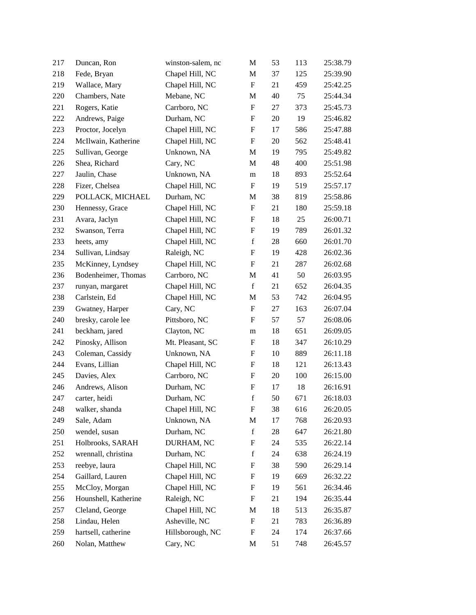| 217 | Duncan, Ron          | winston-salem, nc | M                         | 53 | 113 | 25:38.79 |
|-----|----------------------|-------------------|---------------------------|----|-----|----------|
| 218 | Fede, Bryan          | Chapel Hill, NC   | M                         | 37 | 125 | 25:39.90 |
| 219 | Wallace, Mary        | Chapel Hill, NC   | $\boldsymbol{\mathrm{F}}$ | 21 | 459 | 25:42.25 |
| 220 | Chambers, Nate       | Mebane, NC        | M                         | 40 | 75  | 25:44.34 |
| 221 | Rogers, Katie        | Carrboro, NC      | $\boldsymbol{\mathrm{F}}$ | 27 | 373 | 25:45.73 |
| 222 | Andrews, Paige       | Durham, NC        | ${\bf F}$                 | 20 | 19  | 25:46.82 |
| 223 | Proctor, Jocelyn     | Chapel Hill, NC   | $\boldsymbol{\mathrm{F}}$ | 17 | 586 | 25:47.88 |
| 224 | McIlwain, Katherine  | Chapel Hill, NC   | $\boldsymbol{\mathrm{F}}$ | 20 | 562 | 25:48.41 |
| 225 | Sullivan, George     | Unknown, NA       | M                         | 19 | 795 | 25:49.82 |
| 226 | Shea, Richard        | Cary, NC          | M                         | 48 | 400 | 25:51.98 |
| 227 | Jaulin, Chase        | Unknown, NA       | m                         | 18 | 893 | 25:52.64 |
| 228 | Fizer, Chelsea       | Chapel Hill, NC   | F                         | 19 | 519 | 25:57.17 |
| 229 | POLLACK, MICHAEL     | Durham, NC        | M                         | 38 | 819 | 25:58.86 |
| 230 | Hennessy, Grace      | Chapel Hill, NC   | $\boldsymbol{\mathrm{F}}$ | 21 | 180 | 25:59.18 |
| 231 | Avara, Jaclyn        | Chapel Hill, NC   | $\boldsymbol{\mathrm{F}}$ | 18 | 25  | 26:00.71 |
| 232 | Swanson, Terra       | Chapel Hill, NC   | ${\bf F}$                 | 19 | 789 | 26:01.32 |
| 233 | heets, amy           | Chapel Hill, NC   | $\mathbf f$               | 28 | 660 | 26:01.70 |
| 234 | Sullivan, Lindsay    | Raleigh, NC       | ${\bf F}$                 | 19 | 428 | 26:02.36 |
| 235 | McKinney, Lyndsey    | Chapel Hill, NC   | F                         | 21 | 287 | 26:02.68 |
| 236 | Bodenheimer, Thomas  | Carrboro, NC      | M                         | 41 | 50  | 26:03.95 |
| 237 | runyan, margaret     | Chapel Hill, NC   | $\mathbf f$               | 21 | 652 | 26:04.35 |
| 238 | Carlstein, Ed        | Chapel Hill, NC   | M                         | 53 | 742 | 26:04.95 |
| 239 | Gwatney, Harper      | Cary, NC          | $\boldsymbol{\mathrm{F}}$ | 27 | 163 | 26:07.04 |
| 240 | bresky, carole lee   | Pittsboro, NC     | F                         | 57 | 57  | 26:08.06 |
| 241 | beckham, jared       | Clayton, NC       | m                         | 18 | 651 | 26:09.05 |
| 242 | Pinosky, Allison     | Mt. Pleasant, SC  | ${\rm F}$                 | 18 | 347 | 26:10.29 |
| 243 | Coleman, Cassidy     | Unknown, NA       | F                         | 10 | 889 | 26:11.18 |
| 244 | Evans, Lillian       | Chapel Hill, NC   | $\boldsymbol{\mathrm{F}}$ | 18 | 121 | 26:13.43 |
| 245 | Davies, Alex         | Carrboro, NC      | $\boldsymbol{F}$          | 20 | 100 | 26:15.00 |
| 246 | Andrews, Alison      | Durham, NC        | $\boldsymbol{\mathrm{F}}$ | 17 | 18  | 26:16.91 |
| 247 | carter, heidi        | Durham, NC        | $\mathbf f$               | 50 | 671 | 26:18.03 |
| 248 | walker, shanda       | Chapel Hill, NC   | F                         | 38 | 616 | 26:20.05 |
| 249 | Sale, Adam           | Unknown, NA       | M                         | 17 | 768 | 26:20.93 |
| 250 | wendel, susan        | Durham, NC        | $\mathbf f$               | 28 | 647 | 26:21.80 |
| 251 | Holbrooks, SARAH     | DURHAM, NC        | F                         | 24 | 535 | 26:22.14 |
| 252 | wrennall, christina  | Durham, NC        | $\mathbf f$               | 24 | 638 | 26:24.19 |
| 253 | reebye, laura        | Chapel Hill, NC   | F                         | 38 | 590 | 26:29.14 |
| 254 | Gaillard, Lauren     | Chapel Hill, NC   | $\boldsymbol{\mathrm{F}}$ | 19 | 669 | 26:32.22 |
| 255 | McCloy, Morgan       | Chapel Hill, NC   | ${\rm F}$                 | 19 | 561 | 26:34.46 |
| 256 | Hounshell, Katherine | Raleigh, NC       | F                         | 21 | 194 | 26:35.44 |
| 257 | Cleland, George      | Chapel Hill, NC   | M                         | 18 | 513 | 26:35.87 |
| 258 | Lindau, Helen        | Asheville, NC     | $\boldsymbol{F}$          | 21 | 783 | 26:36.89 |
| 259 | hartsell, catherine  | Hillsborough, NC  | $\boldsymbol{\mathrm{F}}$ | 24 | 174 | 26:37.66 |
| 260 | Nolan, Matthew       | Cary, NC          | M                         | 51 | 748 | 26:45.57 |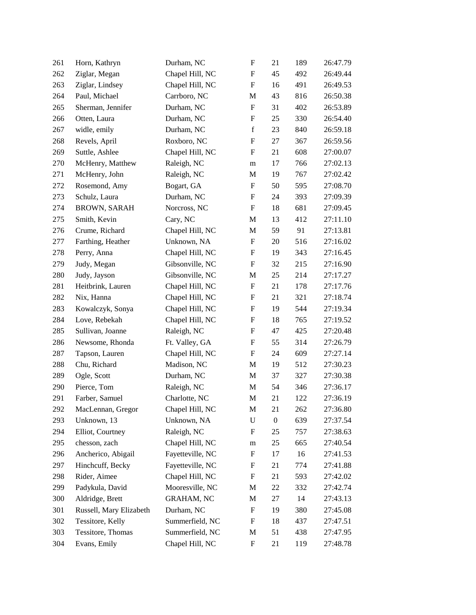| 261 | Horn, Kathryn           | Durham, NC        | $\boldsymbol{\mathrm{F}}$ | 21               | 189 | 26:47.79 |
|-----|-------------------------|-------------------|---------------------------|------------------|-----|----------|
| 262 | Ziglar, Megan           | Chapel Hill, NC   | $\boldsymbol{\mathrm{F}}$ | 45               | 492 | 26:49.44 |
| 263 | Ziglar, Lindsey         | Chapel Hill, NC   | $\boldsymbol{\mathrm{F}}$ | 16               | 491 | 26:49.53 |
| 264 | Paul, Michael           | Carrboro, NC      | M                         | 43               | 816 | 26:50.38 |
| 265 | Sherman, Jennifer       | Durham, NC        | $\boldsymbol{\mathrm{F}}$ | 31               | 402 | 26:53.89 |
| 266 | Otten, Laura            | Durham, NC        | $\boldsymbol{\mathrm{F}}$ | 25               | 330 | 26:54.40 |
| 267 | widle, emily            | Durham, NC        | $\mathbf f$               | 23               | 840 | 26:59.18 |
| 268 | Revels, April           | Roxboro, NC       | $\boldsymbol{\mathrm{F}}$ | 27               | 367 | 26:59.56 |
| 269 | Suttle, Ashlee          | Chapel Hill, NC   | $\boldsymbol{F}$          | 21               | 608 | 27:00.07 |
| 270 | McHenry, Matthew        | Raleigh, NC       | m                         | 17               | 766 | 27:02.13 |
| 271 | McHenry, John           | Raleigh, NC       | M                         | 19               | 767 | 27:02.42 |
| 272 | Rosemond, Amy           | Bogart, GA        | F                         | 50               | 595 | 27:08.70 |
| 273 | Schulz, Laura           | Durham, NC        | $\boldsymbol{\mathrm{F}}$ | 24               | 393 | 27:09.39 |
| 274 | <b>BROWN, SARAH</b>     | Norcross, NC      | ${\bf F}$                 | 18               | 681 | 27:09.45 |
| 275 | Smith, Kevin            | Cary, NC          | M                         | 13               | 412 | 27:11.10 |
| 276 | Crume, Richard          | Chapel Hill, NC   | M                         | 59               | 91  | 27:13.81 |
| 277 | Farthing, Heather       | Unknown, NA       | $\boldsymbol{\mathrm{F}}$ | 20               | 516 | 27:16.02 |
| 278 | Perry, Anna             | Chapel Hill, NC   | $\boldsymbol{\mathrm{F}}$ | 19               | 343 | 27:16.45 |
| 279 | Judy, Megan             | Gibsonville, NC   | $\boldsymbol{\mathrm{F}}$ | 32               | 215 | 27:16.90 |
| 280 | Judy, Jayson            | Gibsonville, NC   | M                         | 25               | 214 | 27:17.27 |
| 281 | Heitbrink, Lauren       | Chapel Hill, NC   | $\boldsymbol{\mathrm{F}}$ | 21               | 178 | 27:17.76 |
| 282 | Nix, Hanna              | Chapel Hill, NC   | F                         | 21               | 321 | 27:18.74 |
| 283 | Kowalczyk, Sonya        | Chapel Hill, NC   | $\boldsymbol{\mathrm{F}}$ | 19               | 544 | 27:19.34 |
| 284 | Love, Rebekah           | Chapel Hill, NC   | $\boldsymbol{\mathrm{F}}$ | 18               | 765 | 27:19.52 |
| 285 | Sullivan, Joanne        | Raleigh, NC       | $\boldsymbol{\mathrm{F}}$ | 47               | 425 | 27:20.48 |
| 286 | Newsome, Rhonda         | Ft. Valley, GA    | $\boldsymbol{\mathrm{F}}$ | 55               | 314 | 27:26.79 |
| 287 | Tapson, Lauren          | Chapel Hill, NC   | F                         | 24               | 609 | 27:27.14 |
| 288 | Chu, Richard            | Madison, NC       | $\mathbf{M}$              | 19               | 512 | 27:30.23 |
| 289 | Ogle, Scott             | Durham, NC        | $\mathbf{M}$              | 37               | 327 | 27:30.38 |
| 290 | Pierce, Tom             | Raleigh, NC       | M                         | 54               | 346 | 27:36.17 |
| 291 | Farber, Samuel          | Charlotte, NC     | M                         | 21               | 122 | 27:36.19 |
| 292 | MacLennan, Gregor       | Chapel Hill, NC   | M                         | 21               | 262 | 27:36.80 |
| 293 | Unknown, 13             | Unknown, NA       | $\mathbf U$               | $\boldsymbol{0}$ | 639 | 27:37.54 |
| 294 | Elliot, Courtney        | Raleigh, NC       | F                         | 25               | 757 | 27:38.63 |
| 295 | chesson, zach           | Chapel Hill, NC   | ${\rm m}$                 | 25               | 665 | 27:40.54 |
| 296 | Ancherico, Abigail      | Fayetteville, NC  | ${\bf F}$                 | 17               | 16  | 27:41.53 |
| 297 | Hinchcuff, Becky        | Fayetteville, NC  | $\boldsymbol{\mathrm{F}}$ | 21               | 774 | 27:41.88 |
| 298 | Rider, Aimee            | Chapel Hill, NC   | $\boldsymbol{\mathrm{F}}$ | 21               | 593 | 27:42.02 |
| 299 | Padykula, David         | Mooresville, NC   | M                         | 22               | 332 | 27:42.74 |
| 300 | Aldridge, Brett         | <b>GRAHAM, NC</b> | M                         | 27               | 14  | 27:43.13 |
| 301 | Russell, Mary Elizabeth | Durham, NC        | $\boldsymbol{\mathrm{F}}$ | 19               | 380 | 27:45.08 |
| 302 | Tessitore, Kelly        | Summerfield, NC   | $\boldsymbol{\mathrm{F}}$ | 18               | 437 | 27:47.51 |
| 303 | Tessitore, Thomas       | Summerfield, NC   | M                         | 51               | 438 | 27:47.95 |
| 304 | Evans, Emily            | Chapel Hill, NC   | $\boldsymbol{\mathrm{F}}$ | 21               | 119 | 27:48.78 |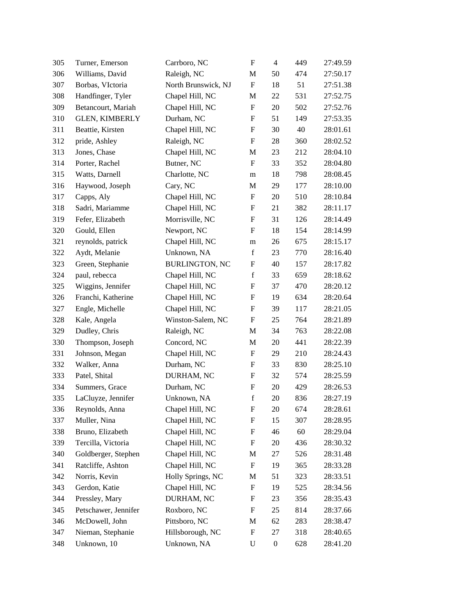| Williams, David       |                       |                           |                  |     |                               |
|-----------------------|-----------------------|---------------------------|------------------|-----|-------------------------------|
|                       |                       |                           |                  |     | 27:50.17                      |
| Borbas, VIctoria      | North Brunswick, NJ   | $\boldsymbol{\mathrm{F}}$ | 18               | 51  | 27:51.38                      |
| Handfinger, Tyler     | Chapel Hill, NC       | M                         | 22               | 531 | 27:52.75                      |
| Betancourt, Mariah    | Chapel Hill, NC       | $\boldsymbol{\mathrm{F}}$ | 20               | 502 | 27:52.76                      |
| <b>GLEN, KIMBERLY</b> | Durham, NC            | $\boldsymbol{\mathrm{F}}$ | 51               | 149 | 27:53.35                      |
| Beattie, Kirsten      | Chapel Hill, NC       | F                         | 30               | 40  | 28:01.61                      |
| pride, Ashley         | Raleigh, NC           | $\mathbf F$               | 28               | 360 | 28:02.52                      |
| Jones, Chase          | Chapel Hill, NC       | M                         | 23               | 212 | 28:04.10                      |
| Porter, Rachel        | Butner, NC            | $\boldsymbol{\mathrm{F}}$ | 33               | 352 | 28:04.80                      |
| Watts, Darnell        | Charlotte, NC         | m                         | 18               | 798 | 28:08.45                      |
| Haywood, Joseph       | Cary, NC              | M                         | 29               | 177 | 28:10.00                      |
| Capps, Aly            | Chapel Hill, NC       | $\boldsymbol{\mathrm{F}}$ | 20               | 510 | 28:10.84                      |
| Sadri, Mariamme       | Chapel Hill, NC       | F                         | 21               | 382 | 28:11.17                      |
| Fefer, Elizabeth      | Morrisville, NC       | ${\rm F}$                 | 31               | 126 | 28:14.49                      |
| Gould, Ellen          | Newport, NC           | $\boldsymbol{\mathrm{F}}$ | 18               | 154 | 28:14.99                      |
| reynolds, patrick     | Chapel Hill, NC       | m                         | 26               | 675 | 28:15.17                      |
| Aydt, Melanie         | Unknown, NA           | $\mathbf f$               | 23               | 770 | 28:16.40                      |
| Green, Stephanie      | <b>BURLINGTON, NC</b> | ${\rm F}$                 | 40               | 157 | 28:17.82                      |
| paul, rebecca         | Chapel Hill, NC       | $\mathbf f$               | 33               | 659 | 28:18.62                      |
| Wiggins, Jennifer     | Chapel Hill, NC       | $\boldsymbol{\mathrm{F}}$ | 37               | 470 | 28:20.12                      |
| Franchi, Katherine    | Chapel Hill, NC       | F                         | 19               | 634 | 28:20.64                      |
| Engle, Michelle       | Chapel Hill, NC       | $\boldsymbol{\mathrm{F}}$ | 39               | 117 | 28:21.05                      |
| Kale, Angela          | Winston-Salem, NC     | F                         | 25               | 764 | 28:21.89                      |
| Dudley, Chris         | Raleigh, NC           | M                         | 34               | 763 | 28:22.08                      |
| Thompson, Joseph      | Concord, NC           | M                         | 20               | 441 | 28:22.39                      |
| Johnson, Megan        | Chapel Hill, NC       | F                         | 29               | 210 | 28:24.43                      |
| Walker, Anna          | Durham, NC            | $\boldsymbol{\mathrm{F}}$ | 33               | 830 | 28:25.10                      |
| Patel, Shital         | DURHAM, NC            | ${\rm F}$                 | 32               | 574 | 28:25.59                      |
| Summers, Grace        | Durham, NC            | ${\rm F}$                 | 20               | 429 | 28:26.53                      |
| LaCluyze, Jennifer    | Unknown, NA           | $\mathbf f$               | 20               | 836 | 28:27.19                      |
| Reynolds, Anna        | Chapel Hill, NC       | F                         | 20               | 674 | 28:28.61                      |
| Muller, Nina          | Chapel Hill, NC       | ${\bf F}$                 | 15               | 307 | 28:28.95                      |
| Bruno, Elizabeth      | Chapel Hill, NC       | F                         | 46               | 60  | 28:29.04                      |
| Tercilla, Victoria    | Chapel Hill, NC       | ${\rm F}$                 | 20               | 436 | 28:30.32                      |
| Goldberger, Stephen   | Chapel Hill, NC       | M                         | 27               | 526 | 28:31.48                      |
| Ratcliffe, Ashton     | Chapel Hill, NC       | $\boldsymbol{\mathrm{F}}$ | 19               | 365 | 28:33.28                      |
| Norris, Kevin         | Holly Springs, NC     | M                         | 51               | 323 | 28:33.51                      |
| Gerdon, Katie         | Chapel Hill, NC       | ${\rm F}$                 | 19               | 525 | 28:34.56                      |
| Pressley, Mary        | DURHAM, NC            | ${\rm F}$                 | 23               | 356 | 28:35.43                      |
| Petschawer, Jennifer  | Roxboro, NC           | $\boldsymbol{F}$          | 25               | 814 | 28:37.66                      |
| McDowell, John        | Pittsboro, NC         | M                         | 62               | 283 | 28:38.47                      |
| Nieman, Stephanie     | Hillsborough, NC      | ${\bf F}$                 | 27               | 318 | 28:40.65                      |
| Unknown, 10           | Unknown, NA           | U                         | $\boldsymbol{0}$ | 628 | 28:41.20                      |
|                       |                       |                           |                  |     | Raleigh, NC<br>M<br>50<br>474 |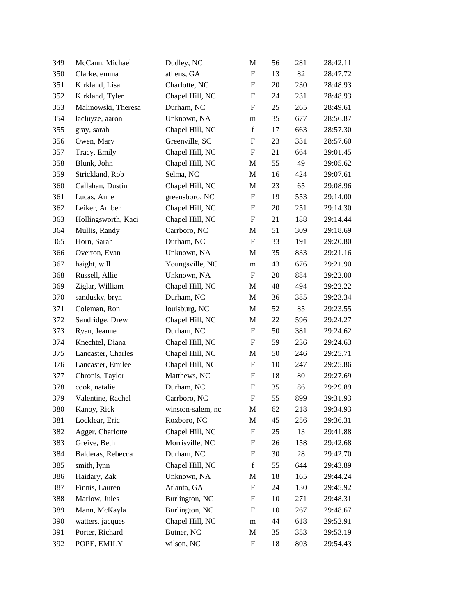| 349 | McCann, Michael     | Dudley, NC        | M                         | 56     | 281    | 28:42.11 |
|-----|---------------------|-------------------|---------------------------|--------|--------|----------|
| 350 | Clarke, emma        | athens, GA        | $\boldsymbol{\mathrm{F}}$ | 13     | 82     | 28:47.72 |
| 351 | Kirkland, Lisa      | Charlotte, NC     | $\boldsymbol{\mathrm{F}}$ | 20     | 230    | 28:48.93 |
| 352 | Kirkland, Tyler     | Chapel Hill, NC   | $\boldsymbol{\mathrm{F}}$ | 24     | 231    | 28:48.93 |
| 353 | Malinowski, Theresa | Durham, NC        | $\boldsymbol{\mathrm{F}}$ | 25     | 265    | 28:49.61 |
| 354 | lacluyze, aaron     | Unknown, NA       | m                         | 35     | 677    | 28:56.87 |
| 355 | gray, sarah         | Chapel Hill, NC   | $\mathbf f$               | 17     | 663    | 28:57.30 |
| 356 | Owen, Mary          | Greenville, SC    | $\boldsymbol{\mathrm{F}}$ | 23     | 331    | 28:57.60 |
| 357 | Tracy, Emily        | Chapel Hill, NC   | $\boldsymbol{\mathrm{F}}$ | 21     | 664    | 29:01.45 |
| 358 | Blunk, John         | Chapel Hill, NC   | M                         | 55     | 49     | 29:05.62 |
| 359 | Strickland, Rob     | Selma, NC         | M                         | 16     | 424    | 29:07.61 |
| 360 | Callahan, Dustin    | Chapel Hill, NC   | M                         | 23     | 65     | 29:08.96 |
| 361 | Lucas, Anne         | greensboro, NC    | $\boldsymbol{\mathrm{F}}$ | 19     | 553    | 29:14.00 |
| 362 | Leiker, Amber       | Chapel Hill, NC   | $\boldsymbol{\mathrm{F}}$ | 20     | 251    | 29:14.30 |
| 363 | Hollingsworth, Kaci | Chapel Hill, NC   | $\boldsymbol{\mathrm{F}}$ | 21     | 188    | 29:14.44 |
| 364 | Mullis, Randy       | Carrboro, NC      | M                         | 51     | 309    | 29:18.69 |
| 365 | Horn, Sarah         | Durham, NC        | $\boldsymbol{\mathrm{F}}$ | 33     | 191    | 29:20.80 |
| 366 | Overton, Evan       | Unknown, NA       | M                         | 35     | 833    | 29:21.16 |
| 367 | haight, will        | Youngsville, NC   | m                         | 43     | 676    | 29:21.90 |
| 368 | Russell, Allie      | Unknown, NA       | F                         | 20     | 884    | 29:22.00 |
| 369 | Ziglar, William     | Chapel Hill, NC   | M                         | 48     | 494    | 29:22.22 |
| 370 | sandusky, bryn      | Durham, NC        | M                         | 36     | 385    | 29:23.34 |
| 371 | Coleman, Ron        | louisburg, NC     | $\mathbf{M}$              | 52     | 85     | 29:23.55 |
| 372 | Sandridge, Drew     | Chapel Hill, NC   | M                         | 22     | 596    | 29:24.27 |
| 373 | Ryan, Jeanne        | Durham, NC        | ${\bf F}$                 | 50     | 381    | 29:24.62 |
| 374 | Knechtel, Diana     | Chapel Hill, NC   | $\boldsymbol{\mathrm{F}}$ | 59     | 236    | 29:24.63 |
| 375 | Lancaster, Charles  | Chapel Hill, NC   | M                         | 50     | 246    | 29:25.71 |
| 376 | Lancaster, Emilee   | Chapel Hill, NC   | $\boldsymbol{\mathrm{F}}$ | 10     | 247    | 29:25.86 |
| 377 | Chronis, Taylor     | Matthews, NC      | $\boldsymbol{\mathrm{F}}$ | 18     | 80     | 29:27.69 |
| 378 | cook, natalie       | Durham, NC        | $\boldsymbol{F}$          | 35     | 86     | 29:29.89 |
| 379 | Valentine, Rachel   | Carrboro, NC      | $\boldsymbol{\mathrm{F}}$ | 55     | 899    | 29:31.93 |
| 380 | Kanoy, Rick         | winston-salem, nc | M                         | 62     | 218    | 29:34.93 |
| 381 | Locklear, Eric      | Roxboro, NC       | M                         | 45     | 256    | 29:36.31 |
| 382 | Agger, Charlotte    | Chapel Hill, NC   | $\boldsymbol{\mathrm{F}}$ | 25     | 13     | 29:41.88 |
| 383 | Greive, Beth        | Morrisville, NC   | $\boldsymbol{\mathrm{F}}$ | $26\,$ | 158    | 29:42.68 |
| 384 | Balderas, Rebecca   | Durham, NC        | $\boldsymbol{\mathrm{F}}$ | 30     | $28\,$ | 29:42.70 |
| 385 | smith, lynn         | Chapel Hill, NC   | $\mathbf f$               | 55     | 644    | 29:43.89 |
| 386 | Haidary, Zak        | Unknown, NA       | M                         | 18     | 165    | 29:44.24 |
| 387 | Finnis, Lauren      | Atlanta, GA       | $\boldsymbol{\mathrm{F}}$ | 24     | 130    | 29:45.92 |
| 388 | Marlow, Jules       | Burlington, NC    | $\boldsymbol{\mathrm{F}}$ | 10     | 271    | 29:48.31 |
| 389 | Mann, McKayla       | Burlington, NC    | $\boldsymbol{F}$          | 10     | 267    | 29:48.67 |
| 390 | watters, jacques    | Chapel Hill, NC   | m                         | 44     | 618    | 29:52.91 |
| 391 | Porter, Richard     | Butner, NC        | $\mathbf M$               | 35     | 353    | 29:53.19 |
| 392 | POPE, EMILY         | wilson, NC        | $\boldsymbol{\mathrm{F}}$ | 18     | 803    | 29:54.43 |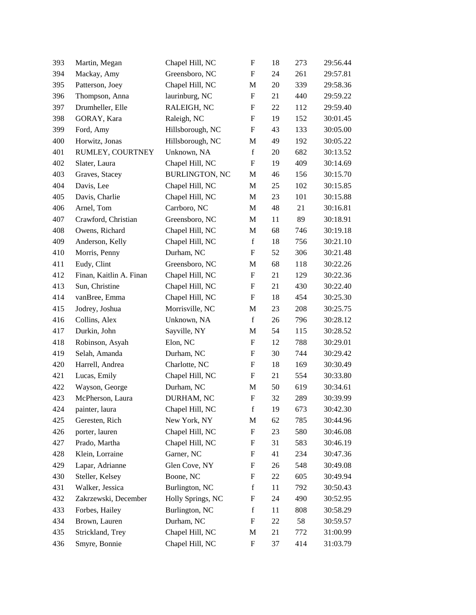| 393 | Martin, Megan           | Chapel Hill, NC       | $\boldsymbol{\mathrm{F}}$ | 18 | 273 | 29:56.44 |
|-----|-------------------------|-----------------------|---------------------------|----|-----|----------|
| 394 | Mackay, Amy             | Greensboro, NC        | $\mathbf{F}$              | 24 | 261 | 29:57.81 |
| 395 | Patterson, Joey         | Chapel Hill, NC       | M                         | 20 | 339 | 29:58.36 |
| 396 | Thompson, Anna          | laurinburg, NC        | $\boldsymbol{\mathrm{F}}$ | 21 | 440 | 29:59.22 |
| 397 | Drumheller, Elle        | RALEIGH, NC           | F                         | 22 | 112 | 29:59.40 |
| 398 | GORAY, Kara             | Raleigh, NC           | $\boldsymbol{\mathrm{F}}$ | 19 | 152 | 30:01.45 |
| 399 | Ford, Amy               | Hillsborough, NC      | F                         | 43 | 133 | 30:05.00 |
| 400 | Horwitz, Jonas          | Hillsborough, NC      | $\mathbf M$               | 49 | 192 | 30:05.22 |
| 401 | RUMLEY, COURTNEY        | Unknown, NA           | $\mathbf f$               | 20 | 682 | 30:13.52 |
| 402 | Slater, Laura           | Chapel Hill, NC       | $\boldsymbol{\mathrm{F}}$ | 19 | 409 | 30:14.69 |
| 403 | Graves, Stacey          | <b>BURLINGTON, NC</b> | M                         | 46 | 156 | 30:15.70 |
| 404 | Davis, Lee              | Chapel Hill, NC       | M                         | 25 | 102 | 30:15.85 |
| 405 | Davis, Charlie          | Chapel Hill, NC       | $\mathbf M$               | 23 | 101 | 30:15.88 |
| 406 | Arnel, Tom              | Carrboro, NC          | $\mathbf{M}$              | 48 | 21  | 30:16.81 |
| 407 | Crawford, Christian     | Greensboro, NC        | M                         | 11 | 89  | 30:18.91 |
| 408 | Owens, Richard          | Chapel Hill, NC       | M                         | 68 | 746 | 30:19.18 |
| 409 | Anderson, Kelly         | Chapel Hill, NC       | $\mathbf f$               | 18 | 756 | 30:21.10 |
| 410 | Morris, Penny           | Durham, NC            | $\boldsymbol{\mathrm{F}}$ | 52 | 306 | 30:21.48 |
| 411 | Eudy, Clint             | Greensboro, NC        | M                         | 68 | 118 | 30:22.26 |
| 412 | Finan, Kaitlin A. Finan | Chapel Hill, NC       | ${\bf F}$                 | 21 | 129 | 30:22.36 |
| 413 | Sun, Christine          | Chapel Hill, NC       | $\boldsymbol{\mathrm{F}}$ | 21 | 430 | 30:22.40 |
| 414 | vanBree, Emma           | Chapel Hill, NC       | F                         | 18 | 454 | 30:25.30 |
| 415 | Jodrey, Joshua          | Morrisville, NC       | M                         | 23 | 208 | 30:25.75 |
| 416 | Collins, Alex           | Unknown, NA           | $\mathbf f$               | 26 | 796 | 30:28.12 |
| 417 | Durkin, John            | Sayville, NY          | M                         | 54 | 115 | 30:28.52 |
| 418 | Robinson, Asyah         | Elon, NC              | $\boldsymbol{\mathrm{F}}$ | 12 | 788 | 30:29.01 |
| 419 | Selah, Amanda           | Durham, NC            | F                         | 30 | 744 | 30:29.42 |
| 420 | Harrell, Andrea         | Charlotte, NC         | $\boldsymbol{\mathrm{F}}$ | 18 | 169 | 30:30.49 |
| 421 | Lucas, Emily            | Chapel Hill, NC       | $\boldsymbol{\mathrm{F}}$ | 21 | 554 | 30:33.80 |
| 422 | Wayson, George          | Durham, NC            | M                         | 50 | 619 | 30:34.61 |
| 423 | McPherson, Laura        | DURHAM, NC            | $\boldsymbol{\mathrm{F}}$ | 32 | 289 | 30:39.99 |
| 424 | painter, laura          | Chapel Hill, NC       | f                         | 19 | 673 | 30:42.30 |
| 425 | Geresten, Rich          | New York, NY          | M                         | 62 | 785 | 30:44.96 |
| 426 | porter, lauren          | Chapel Hill, NC       | $\boldsymbol{\mathrm{F}}$ | 23 | 580 | 30:46.08 |
| 427 | Prado, Martha           | Chapel Hill, NC       | $\boldsymbol{\mathrm{F}}$ | 31 | 583 | 30:46.19 |
| 428 | Klein, Lorraine         | Garner, NC            | ${\bf F}$                 | 41 | 234 | 30:47.36 |
| 429 | Lapar, Adrianne         | Glen Cove, NY         | $\boldsymbol{\mathrm{F}}$ | 26 | 548 | 30:49.08 |
| 430 | Steller, Kelsey         | Boone, NC             | $\boldsymbol{\mathrm{F}}$ | 22 | 605 | 30:49.94 |
| 431 | Walker, Jessica         | Burlington, NC        | $\mathbf f$               | 11 | 792 | 30:50.43 |
| 432 | Zakrzewski, December    | Holly Springs, NC     | ${\rm F}$                 | 24 | 490 | 30:52.95 |
| 433 | Forbes, Hailey          | Burlington, NC        | $\mathbf f$               | 11 | 808 | 30:58.29 |
| 434 | Brown, Lauren           | Durham, NC            | $\boldsymbol{F}$          | 22 | 58  | 30:59.57 |
| 435 | Strickland, Trey        | Chapel Hill, NC       | M                         | 21 | 772 | 31:00.99 |
| 436 | Smyre, Bonnie           | Chapel Hill, NC       | $\boldsymbol{\mathrm{F}}$ | 37 | 414 | 31:03.79 |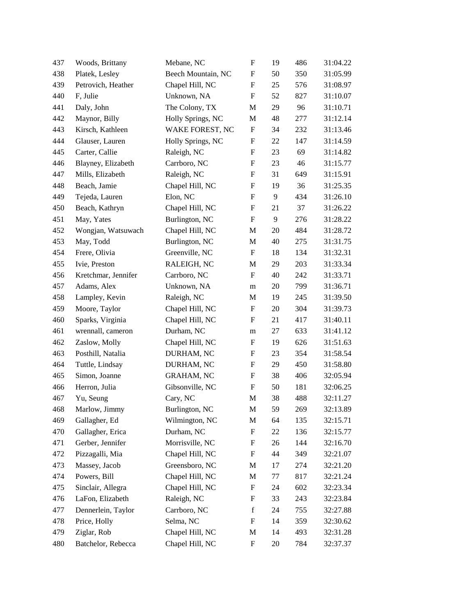| 437 | Woods, Brittany     | Mebane, NC         | $\boldsymbol{\mathrm{F}}$ | 19 | 486 | 31:04.22 |
|-----|---------------------|--------------------|---------------------------|----|-----|----------|
| 438 | Platek, Lesley      | Beech Mountain, NC | $\boldsymbol{\mathrm{F}}$ | 50 | 350 | 31:05.99 |
| 439 | Petrovich, Heather  | Chapel Hill, NC    | ${\bf F}$                 | 25 | 576 | 31:08.97 |
| 440 | F, Julie            | Unknown, NA        | $\boldsymbol{\mathrm{F}}$ | 52 | 827 | 31:10.07 |
| 441 | Daly, John          | The Colony, TX     | M                         | 29 | 96  | 31:10.71 |
| 442 | Maynor, Billy       | Holly Springs, NC  | M                         | 48 | 277 | 31:12.14 |
| 443 | Kirsch, Kathleen    | WAKE FOREST, NC    | F                         | 34 | 232 | 31:13.46 |
| 444 | Glauser, Lauren     | Holly Springs, NC  | $\boldsymbol{\mathrm{F}}$ | 22 | 147 | 31:14.59 |
| 445 | Carter, Callie      | Raleigh, NC        | $\boldsymbol{\mathrm{F}}$ | 23 | 69  | 31:14.82 |
| 446 | Blayney, Elizabeth  | Carrboro, NC       | $\boldsymbol{\mathrm{F}}$ | 23 | 46  | 31:15.77 |
| 447 | Mills, Elizabeth    | Raleigh, NC        | $\boldsymbol{\mathrm{F}}$ | 31 | 649 | 31:15.91 |
| 448 | Beach, Jamie        | Chapel Hill, NC    | $\boldsymbol{\mathrm{F}}$ | 19 | 36  | 31:25.35 |
| 449 | Tejeda, Lauren      | Elon, NC           | $\boldsymbol{\mathrm{F}}$ | 9  | 434 | 31:26.10 |
| 450 | Beach, Kathryn      | Chapel Hill, NC    | $\boldsymbol{\mathrm{F}}$ | 21 | 37  | 31:26.22 |
| 451 | May, Yates          | Burlington, NC     | $\boldsymbol{\mathrm{F}}$ | 9  | 276 | 31:28.22 |
| 452 | Wongjan, Watsuwach  | Chapel Hill, NC    | M                         | 20 | 484 | 31:28.72 |
| 453 | May, Todd           | Burlington, NC     | M                         | 40 | 275 | 31:31.75 |
| 454 | Frere, Olivia       | Greenville, NC     | $\boldsymbol{\mathrm{F}}$ | 18 | 134 | 31:32.31 |
| 455 | Ivie, Preston       | RALEIGH, NC        | M                         | 29 | 203 | 31:33.34 |
| 456 | Kretchmar, Jennifer | Carrboro, NC       | $\boldsymbol{\mathrm{F}}$ | 40 | 242 | 31:33.71 |
| 457 | Adams, Alex         | Unknown, NA        | m                         | 20 | 799 | 31:36.71 |
| 458 | Lampley, Kevin      | Raleigh, NC        | M                         | 19 | 245 | 31:39.50 |
| 459 | Moore, Taylor       | Chapel Hill, NC    | $\boldsymbol{\mathrm{F}}$ | 20 | 304 | 31:39.73 |
| 460 | Sparks, Virginia    | Chapel Hill, NC    | $\boldsymbol{F}$          | 21 | 417 | 31:40.11 |
| 461 | wrennall, cameron   | Durham, NC         | m                         | 27 | 633 | 31:41.12 |
| 462 | Zaslow, Molly       | Chapel Hill, NC    | ${\rm F}$                 | 19 | 626 | 31:51.63 |
| 463 | Posthill, Natalia   | DURHAM, NC         | F                         | 23 | 354 | 31:58.54 |
| 464 | Tuttle, Lindsay     | DURHAM, NC         | ${\bf F}$                 | 29 | 450 | 31:58.80 |
| 465 | Simon, Joanne       | <b>GRAHAM, NC</b>  | $\boldsymbol{\mathrm{F}}$ | 38 | 406 | 32:05.94 |
| 466 | Herron, Julia       | Gibsonville, NC    | $\boldsymbol{\mathrm{F}}$ | 50 | 181 | 32:06.25 |
| 467 | Yu, Seung           | Cary, NC           | M                         | 38 | 488 | 32:11.27 |
| 468 | Marlow, Jimmy       | Burlington, NC     | M                         | 59 | 269 | 32:13.89 |
| 469 | Gallagher, Ed       | Wilmington, NC     | M                         | 64 | 135 | 32:15.71 |
| 470 | Gallagher, Erica    | Durham, NC         | $\boldsymbol{\mathrm{F}}$ | 22 | 136 | 32:15.77 |
| 471 | Gerber, Jennifer    | Morrisville, NC    | ${\rm F}$                 | 26 | 144 | 32:16.70 |
| 472 | Pizzagalli, Mia     | Chapel Hill, NC    | $\boldsymbol{\mathrm{F}}$ | 44 | 349 | 32:21.07 |
| 473 | Massey, Jacob       | Greensboro, NC     | M                         | 17 | 274 | 32:21.20 |
| 474 | Powers, Bill        | Chapel Hill, NC    | $\mathbf M$               | 77 | 817 | 32:21.24 |
| 475 | Sinclair, Allegra   | Chapel Hill, NC    | $\boldsymbol{\mathrm{F}}$ | 24 | 602 | 32:23.34 |
| 476 | LaFon, Elizabeth    | Raleigh, NC        | ${\rm F}$                 | 33 | 243 | 32:23.84 |
| 477 | Dennerlein, Taylor  | Carrboro, NC       | $\mathbf f$               | 24 | 755 | 32:27.88 |
| 478 | Price, Holly        | Selma, NC          | F                         | 14 | 359 | 32:30.62 |
| 479 | Ziglar, Rob         | Chapel Hill, NC    | M                         | 14 | 493 | 32:31.28 |
| 480 | Batchelor, Rebecca  | Chapel Hill, NC    | ${\bf F}$                 | 20 | 784 | 32:37.37 |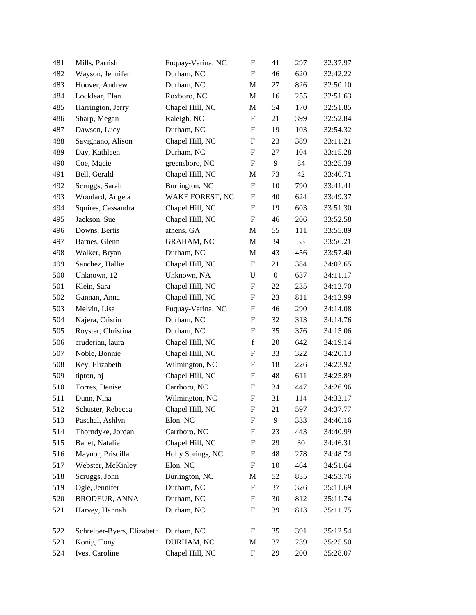| 481 | Mills, Parrish             | Fuquay-Varina, NC | $\boldsymbol{\mathrm{F}}$ | 41               | 297 | 32:37.97 |
|-----|----------------------------|-------------------|---------------------------|------------------|-----|----------|
| 482 | Wayson, Jennifer           | Durham, NC        | $\mathbf F$               | 46               | 620 | 32:42.22 |
| 483 | Hoover, Andrew             | Durham, NC        | M                         | $27\,$           | 826 | 32:50.10 |
| 484 | Locklear, Elan             | Roxboro, NC       | $\mathbf{M}$              | 16               | 255 | 32:51.63 |
| 485 | Harrington, Jerry          | Chapel Hill, NC   | M                         | 54               | 170 | 32:51.85 |
| 486 | Sharp, Megan               | Raleigh, NC       | $\boldsymbol{\mathrm{F}}$ | 21               | 399 | 32:52.84 |
| 487 | Dawson, Lucy               | Durham, NC        | F                         | 19               | 103 | 32:54.32 |
| 488 | Savignano, Alison          | Chapel Hill, NC   | $\boldsymbol{\mathrm{F}}$ | 23               | 389 | 33:11.21 |
| 489 | Day, Kathleen              | Durham, NC        | $\boldsymbol{\mathrm{F}}$ | 27               | 104 | 33:15.28 |
| 490 | Coe, Macie                 | greensboro, NC    | $\boldsymbol{\mathrm{F}}$ | 9                | 84  | 33:25.39 |
| 491 | Bell, Gerald               | Chapel Hill, NC   | M                         | 73               | 42  | 33:40.71 |
| 492 | Scruggs, Sarah             | Burlington, NC    | F                         | 10               | 790 | 33:41.41 |
| 493 | Woodard, Angela            | WAKE FOREST, NC   | $\boldsymbol{\mathrm{F}}$ | 40               | 624 | 33:49.37 |
| 494 | Squires, Cassandra         | Chapel Hill, NC   | $\boldsymbol{\mathrm{F}}$ | 19               | 603 | 33:51.30 |
| 495 | Jackson, Sue               | Chapel Hill, NC   | $\boldsymbol{\mathrm{F}}$ | 46               | 206 | 33:52.58 |
| 496 | Downs, Bertis              | athens, GA        | M                         | 55               | 111 | 33:55.89 |
| 497 | Barnes, Glenn              | <b>GRAHAM, NC</b> | M                         | 34               | 33  | 33:56.21 |
| 498 | Walker, Bryan              | Durham, NC        | M                         | 43               | 456 | 33:57.40 |
| 499 | Sanchez, Hallie            | Chapel Hill, NC   | ${\bf F}$                 | 21               | 384 | 34:02.65 |
| 500 | Unknown, 12                | Unknown, NA       | ${\bf U}$                 | $\boldsymbol{0}$ | 637 | 34:11.17 |
| 501 | Klein, Sara                | Chapel Hill, NC   | $\boldsymbol{\mathrm{F}}$ | 22               | 235 | 34:12.70 |
| 502 | Gannan, Anna               | Chapel Hill, NC   | F                         | 23               | 811 | 34:12.99 |
| 503 | Melvin, Lisa               | Fuquay-Varina, NC | $\boldsymbol{\mathrm{F}}$ | 46               | 290 | 34:14.08 |
| 504 | Najera, Cristin            | Durham, NC        | $\boldsymbol{\mathrm{F}}$ | 32               | 313 | 34:14.76 |
| 505 | Royster, Christina         | Durham, NC        | $\boldsymbol{\mathrm{F}}$ | 35               | 376 | 34:15.06 |
| 506 | cruderian, laura           | Chapel Hill, NC   | $\mathbf f$               | 20               | 642 | 34:19.14 |
| 507 | Noble, Bonnie              | Chapel Hill, NC   | F                         | 33               | 322 | 34:20.13 |
| 508 | Key, Elizabeth             | Wilmington, NC    | $\boldsymbol{\mathrm{F}}$ | 18               | 226 | 34:23.92 |
| 509 | tipton, bj                 | Chapel Hill, NC   | ${\bf F}$                 | 48               | 611 | 34:25.89 |
| 510 | Torres, Denise             | Carrboro, NC      | $\boldsymbol{F}$          | 34               | 447 | 34:26.96 |
| 511 | Dunn, Nina                 | Wilmington, NC    | $\boldsymbol{\mathrm{F}}$ | 31               | 114 | 34:32.17 |
| 512 | Schuster, Rebecca          | Chapel Hill, NC   | F                         | 21               | 597 | 34:37.77 |
| 513 | Paschal, Ashlyn            | Elon, NC          | $\boldsymbol{\mathrm{F}}$ | 9                | 333 | 34:40.16 |
| 514 | Thorndyke, Jordan          | Carrboro, NC      | $\boldsymbol{\mathrm{F}}$ | 23               | 443 | 34:40.99 |
| 515 | Banet, Natalie             | Chapel Hill, NC   | $\boldsymbol{\mathrm{F}}$ | 29               | 30  | 34:46.31 |
| 516 | Maynor, Priscilla          | Holly Springs, NC | ${\bf F}$                 | 48               | 278 | 34:48.74 |
| 517 | Webster, McKinley          | Elon, NC          | $\boldsymbol{\mathrm{F}}$ | 10               | 464 | 34:51.64 |
| 518 | Scruggs, John              | Burlington, NC    | M                         | 52               | 835 | 34:53.76 |
| 519 | Ogle, Jennifer             | Durham, NC        | $\boldsymbol{\mathrm{F}}$ | 37               | 326 | 35:11.69 |
| 520 | <b>BRODEUR, ANNA</b>       | Durham, NC        | F                         | 30               | 812 | 35:11.74 |
| 521 | Harvey, Hannah             | Durham, NC        | $\boldsymbol{\mathrm{F}}$ | 39               | 813 | 35:11.75 |
|     |                            |                   |                           |                  |     |          |
| 522 | Schreiber-Byers, Elizabeth | Durham, NC        | $\boldsymbol{\mathrm{F}}$ | 35               | 391 | 35:12.54 |
| 523 | Konig, Tony                | DURHAM, NC        | M                         | 37               | 239 | 35:25.50 |
| 524 | Ives, Caroline             | Chapel Hill, NC   | $\boldsymbol{\mathrm{F}}$ | 29               | 200 | 35:28.07 |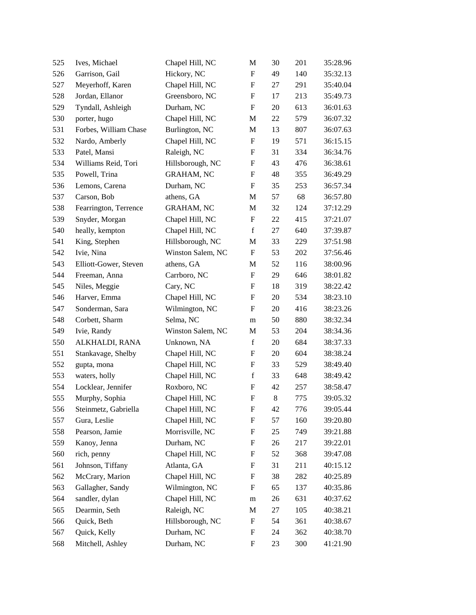| 525 | Ives, Michael         | Chapel Hill, NC   | M                         | 30    | 201 | 35:28.96 |
|-----|-----------------------|-------------------|---------------------------|-------|-----|----------|
| 526 | Garrison, Gail        | Hickory, NC       | $\mathbf F$               | 49    | 140 | 35:32.13 |
| 527 | Meyerhoff, Karen      | Chapel Hill, NC   | ${\bf F}$                 | 27    | 291 | 35:40.04 |
| 528 | Jordan, Ellanor       | Greensboro, NC    | F                         | 17    | 213 | 35:49.73 |
| 529 | Tyndall, Ashleigh     | Durham, NC        | ${\bf F}$                 | 20    | 613 | 36:01.63 |
| 530 | porter, hugo          | Chapel Hill, NC   | M                         | 22    | 579 | 36:07.32 |
| 531 | Forbes, William Chase | Burlington, NC    | M                         | 13    | 807 | 36:07.63 |
| 532 | Nardo, Amberly        | Chapel Hill, NC   | ${\bf F}$                 | 19    | 571 | 36:15.15 |
| 533 | Patel, Mansi          | Raleigh, NC       | F                         | 31    | 334 | 36:34.76 |
| 534 | Williams Reid, Tori   | Hillsborough, NC  | ${\bf F}$                 | 43    | 476 | 36:38.61 |
| 535 | Powell, Trina         | <b>GRAHAM, NC</b> | ${\bf F}$                 | 48    | 355 | 36:49.29 |
| 536 | Lemons, Carena        | Durham, NC        | F                         | 35    | 253 | 36:57.34 |
| 537 | Carson, Bob           | athens, GA        | M                         | 57    | 68  | 36:57.80 |
| 538 | Fearrington, Terrence | <b>GRAHAM, NC</b> | M                         | 32    | 124 | 37:12.29 |
| 539 | Snyder, Morgan        | Chapel Hill, NC   | $\boldsymbol{\mathrm{F}}$ | 22    | 415 | 37:21.07 |
| 540 | heally, kempton       | Chapel Hill, NC   | $\mathbf f$               | 27    | 640 | 37:39.87 |
| 541 | King, Stephen         | Hillsborough, NC  | M                         | 33    | 229 | 37:51.98 |
| 542 | Ivie, Nina            | Winston Salem, NC | ${\bf F}$                 | 53    | 202 | 37:56.46 |
| 543 | Elliott-Gower, Steven | athens, GA        | M                         | 52    | 116 | 38:00.96 |
| 544 | Freeman, Anna         | Carrboro, NC      | ${\bf F}$                 | 29    | 646 | 38:01.82 |
| 545 | Niles, Meggie         | Cary, NC          | ${\bf F}$                 | 18    | 319 | 38:22.42 |
| 546 | Harver, Emma          | Chapel Hill, NC   | F                         | 20    | 534 | 38:23.10 |
| 547 | Sonderman, Sara       | Wilmington, NC    | ${\bf F}$                 | 20    | 416 | 38:23.26 |
| 548 | Corbett, Sharm        | Selma, NC         | m                         | 50    | 880 | 38:32.34 |
| 549 | Ivie, Randy           | Winston Salem, NC | M                         | 53    | 204 | 38:34.36 |
| 550 | ALKHALDI, RANA        | Unknown, NA       | $\mathbf f$               | 20    | 684 | 38:37.33 |
| 551 | Stankavage, Shelby    | Chapel Hill, NC   | F                         | 20    | 604 | 38:38.24 |
| 552 | gupta, mona           | Chapel Hill, NC   | ${\bf F}$                 | 33    | 529 | 38:49.40 |
| 553 | waters, holly         | Chapel Hill, NC   | $\mathbf f$               | 33    | 648 | 38:49.42 |
| 554 | Locklear, Jennifer    | Roxboro, NC       | ${\bf F}$                 | 42    | 257 | 38:58.47 |
| 555 | Murphy, Sophia        | Chapel Hill, NC   | $\boldsymbol{\mathrm{F}}$ | $8\,$ | 775 | 39:05.32 |
| 556 | Steinmetz, Gabriella  | Chapel Hill, NC   | F                         | 42    | 776 | 39:05.44 |
| 557 | Gura, Leslie          | Chapel Hill, NC   | ${\bf F}$                 | 57    | 160 | 39:20.80 |
| 558 | Pearson, Jamie        | Morrisville, NC   | F                         | 25    | 749 | 39:21.88 |
| 559 | Kanoy, Jenna          | Durham, NC        | F                         | 26    | 217 | 39:22.01 |
| 560 | rich, penny           | Chapel Hill, NC   | $\boldsymbol{\mathrm{F}}$ | 52    | 368 | 39:47.08 |
| 561 | Johnson, Tiffany      | Atlanta, GA       | F                         | 31    | 211 | 40:15.12 |
| 562 | McCrary, Marion       | Chapel Hill, NC   | $\boldsymbol{\mathrm{F}}$ | 38    | 282 | 40:25.89 |
| 563 | Gallagher, Sandy      | Wilmington, NC    | F                         | 65    | 137 | 40:35.86 |
| 564 | sandler, dylan        | Chapel Hill, NC   | m                         | 26    | 631 | 40:37.62 |
| 565 | Dearmin, Seth         | Raleigh, NC       | M                         | 27    | 105 | 40:38.21 |
| 566 | Quick, Beth           | Hillsborough, NC  | F                         | 54    | 361 | 40:38.67 |
| 567 | Quick, Kelly          | Durham, NC        | $\boldsymbol{\mathrm{F}}$ | 24    | 362 | 40:38.70 |
| 568 | Mitchell, Ashley      | Durham, NC        | F                         | 23    | 300 | 41:21.90 |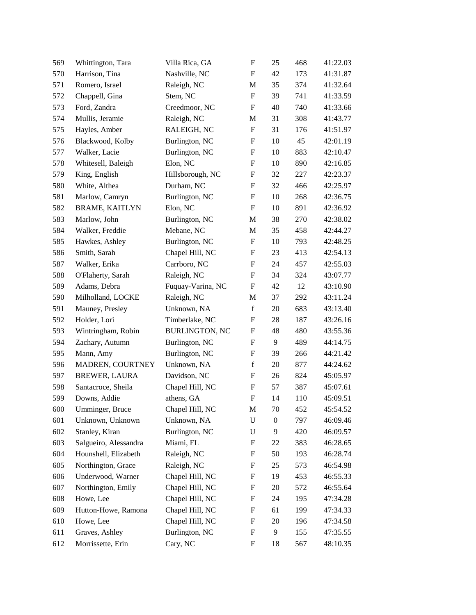| 569 | Whittington, Tara     | Villa Rica, GA        | $\boldsymbol{\mathrm{F}}$ | 25               | 468 | 41:22.03 |
|-----|-----------------------|-----------------------|---------------------------|------------------|-----|----------|
| 570 | Harrison, Tina        | Nashville, NC         | $\boldsymbol{\mathrm{F}}$ | 42               | 173 | 41:31.87 |
| 571 | Romero, Israel        | Raleigh, NC           | M                         | 35               | 374 | 41:32.64 |
| 572 | Chappell, Gina        | Stem, NC              | ${\bf F}$                 | 39               | 741 | 41:33.59 |
| 573 | Ford, Zandra          | Creedmoor, NC         | $\boldsymbol{\mathrm{F}}$ | 40               | 740 | 41:33.66 |
| 574 | Mullis, Jeramie       | Raleigh, NC           | M                         | 31               | 308 | 41:43.77 |
| 575 | Hayles, Amber         | RALEIGH, NC           | F                         | 31               | 176 | 41:51.97 |
| 576 | Blackwood, Kolby      | Burlington, NC        | $\boldsymbol{\mathrm{F}}$ | 10               | 45  | 42:01.19 |
| 577 | Walker, Lacie         | Burlington, NC        | $\boldsymbol{F}$          | 10               | 883 | 42:10.47 |
| 578 | Whitesell, Baleigh    | Elon, NC              | ${\bf F}$                 | 10               | 890 | 42:16.85 |
| 579 | King, English         | Hillsborough, NC      | ${\bf F}$                 | 32               | 227 | 42:23.37 |
| 580 | White, Althea         | Durham, NC            | F                         | 32               | 466 | 42:25.97 |
| 581 | Marlow, Camryn        | Burlington, NC        | $\boldsymbol{\mathrm{F}}$ | 10               | 268 | 42:36.75 |
| 582 | <b>BRAME, KAITLYN</b> | Elon, NC              | $\boldsymbol{\mathrm{F}}$ | 10               | 891 | 42:36.92 |
| 583 | Marlow, John          | Burlington, NC        | M                         | 38               | 270 | 42:38.02 |
| 584 | Walker, Freddie       | Mebane, NC            | M                         | 35               | 458 | 42:44.27 |
| 585 | Hawkes, Ashley        | Burlington, NC        | ${\bf F}$                 | 10               | 793 | 42:48.25 |
| 586 | Smith, Sarah          | Chapel Hill, NC       | $\boldsymbol{\mathrm{F}}$ | 23               | 413 | 42:54.13 |
| 587 | Walker, Erika         | Carrboro, NC          | $\boldsymbol{F}$          | 24               | 457 | 42:55.03 |
| 588 | O'Flaherty, Sarah     | Raleigh, NC           | $\boldsymbol{\mathrm{F}}$ | 34               | 324 | 43:07.77 |
| 589 | Adams, Debra          | Fuquay-Varina, NC     | ${\bf F}$                 | 42               | 12  | 43:10.90 |
| 590 | Milholland, LOCKE     | Raleigh, NC           | M                         | 37               | 292 | 43:11.24 |
| 591 | Mauney, Presley       | Unknown, NA           | $\mathbf f$               | 20               | 683 | 43:13.40 |
| 592 | Holder, Lori          | Timberlake, NC        | $\boldsymbol{F}$          | 28               | 187 | 43:26.16 |
| 593 | Wintringham, Robin    | <b>BURLINGTON, NC</b> | ${\bf F}$                 | 48               | 480 | 43:55.36 |
| 594 | Zachary, Autumn       | Burlington, NC        | $\boldsymbol{\mathrm{F}}$ | 9                | 489 | 44:14.75 |
| 595 | Mann, Amy             | Burlington, NC        | F                         | 39               | 266 | 44:21.42 |
| 596 | MADREN, COURTNEY      | Unknown, NA           | $\mathbf f$               | 20               | 877 | 44:24.62 |
| 597 | <b>BREWER, LAURA</b>  | Davidson, NC          | $\boldsymbol{F}$          | 26               | 824 | 45:05.97 |
| 598 | Santacroce, Sheila    | Chapel Hill, NC       | $\boldsymbol{F}$          | 57               | 387 | 45:07.61 |
| 599 | Downs, Addie          | athens, GA            | $\boldsymbol{\mathrm{F}}$ | 14               | 110 | 45:09.51 |
| 600 | Umminger, Bruce       | Chapel Hill, NC       | M                         | 70               | 452 | 45:54.52 |
| 601 | Unknown, Unknown      | Unknown, NA           | $\mathbf U$               | $\boldsymbol{0}$ | 797 | 46:09.46 |
| 602 | Stanley, Kiran        | Burlington, NC        | ${\bf U}$                 | 9                | 420 | 46:09.57 |
| 603 | Salgueiro, Alessandra | Miami, FL             | $\boldsymbol{\mathrm{F}}$ | 22               | 383 | 46:28.65 |
| 604 | Hounshell, Elizabeth  | Raleigh, NC           | $\boldsymbol{\mathrm{F}}$ | 50               | 193 | 46:28.74 |
| 605 | Northington, Grace    | Raleigh, NC           | $\boldsymbol{F}$          | 25               | 573 | 46:54.98 |
| 606 | Underwood, Warner     | Chapel Hill, NC       | $\boldsymbol{\mathrm{F}}$ | 19               | 453 | 46:55.33 |
| 607 | Northington, Emily    | Chapel Hill, NC       | $\boldsymbol{\mathrm{F}}$ | 20               | 572 | 46:55.64 |
| 608 | Howe, Lee             | Chapel Hill, NC       | $\boldsymbol{\mathrm{F}}$ | 24               | 195 | 47:34.28 |
| 609 | Hutton-Howe, Ramona   | Chapel Hill, NC       | $\boldsymbol{\mathrm{F}}$ | 61               | 199 | 47:34.33 |
| 610 | Howe, Lee             | Chapel Hill, NC       | $\boldsymbol{F}$          | 20               | 196 | 47:34.58 |
| 611 | Graves, Ashley        | Burlington, NC        | $\boldsymbol{\mathrm{F}}$ | 9                | 155 | 47:35.55 |
| 612 | Morrissette, Erin     | Cary, NC              | ${\rm F}$                 | 18               | 567 | 48:10.35 |
|     |                       |                       |                           |                  |     |          |